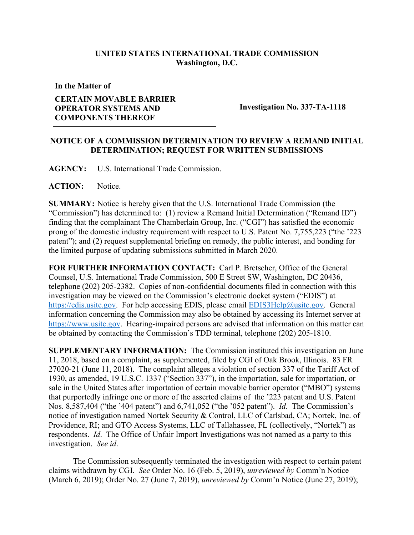## **UNITED STATES INTERNATIONAL TRADE COMMISSION Washington, D.C.**

**In the Matter of**

## **CERTAIN MOVABLE BARRIER OPERATOR SYSTEMS AND COMPONENTS THEREOF**

**Investigation No. 337-TA-1118**

## **NOTICE OF A COMMISSION DETERMINATION TO REVIEW A REMAND INITIAL DETERMINATION; REQUEST FOR WRITTEN SUBMISSIONS**

**AGENCY:** U.S. International Trade Commission.

ACTION: Notice.

**SUMMARY:** Notice is hereby given that the U.S. International Trade Commission (the "Commission") has determined to: (1) review a Remand Initial Determination ("Remand ID") finding that the complainant The Chamberlain Group, Inc. ("CGI") has satisfied the economic prong of the domestic industry requirement with respect to U.S. Patent No. 7,755,223 ("the '223 patent"); and (2) request supplemental briefing on remedy, the public interest, and bonding for the limited purpose of updating submissions submitted in March 2020.

**FOR FURTHER INFORMATION CONTACT:** Carl P. Bretscher, Office of the General Counsel, U.S. International Trade Commission, 500 E Street SW, Washington, DC 20436, telephone (202) 205-2382. Copies of non-confidential documents filed in connection with this investigation may be viewed on the Commission's electronic docket system ("EDIS") at [https://edis.usitc.gov.](https://edis.usitc.gov/) For help accessing EDIS, please email [EDIS3Help@usitc.gov.](mailto:EDIS3Help@usitc.gov) General information concerning the Commission may also be obtained by accessing its Internet server at [https://www.usitc.gov.](https://www.usitc.gov/) Hearing-impaired persons are advised that information on this matter can be obtained by contacting the Commission's TDD terminal, telephone (202) 205-1810.

**SUPPLEMENTARY INFORMATION:** The Commission instituted this investigation on June 11, 2018, based on a complaint, as supplemented, filed by CGI of Oak Brook, Illinois. 83 FR 27020-21 (June 11, 2018). The complaint alleges a violation of section 337 of the Tariff Act of 1930, as amended, 19 U.S.C. 1337 ("Section 337"), in the importation, sale for importation, or sale in the United States after importation of certain movable barrier operator ("MBO") systems that purportedly infringe one or more of the asserted claims of the '223 patent and U.S. Patent Nos. 8,587,404 ("the '404 patent") and 6,741,052 ("the '052 patent"). *Id.* The Commission's notice of investigation named Nortek Security & Control, LLC of Carlsbad, CA; Nortek, Inc. of Providence, RI; and GTO Access Systems, LLC of Tallahassee, FL (collectively, "Nortek") as respondents. *Id*. The Office of Unfair Import Investigations was not named as a party to this investigation. *See id*.

The Commission subsequently terminated the investigation with respect to certain patent claims withdrawn by CGI. *See* Order No. 16 (Feb. 5, 2019), *unreviewed by* Comm'n Notice (March 6, 2019); Order No. 27 (June 7, 2019), *unreviewed by* Comm'n Notice (June 27, 2019);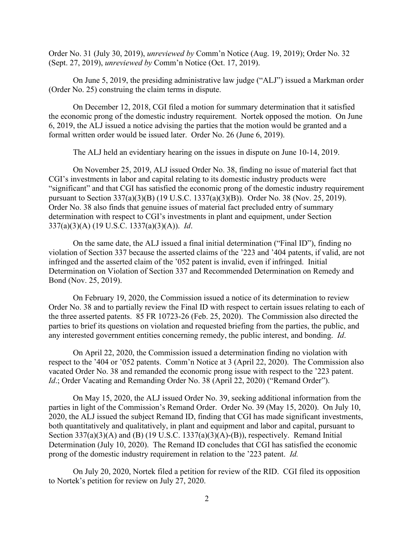Order No. 31 (July 30, 2019), *unreviewed by* Comm'n Notice (Aug. 19, 2019); Order No. 32 (Sept. 27, 2019), *unreviewed by* Comm'n Notice (Oct. 17, 2019).

On June 5, 2019, the presiding administrative law judge ("ALJ") issued a Markman order (Order No. 25) construing the claim terms in dispute.

On December 12, 2018, CGI filed a motion for summary determination that it satisfied the economic prong of the domestic industry requirement. Nortek opposed the motion. On June 6, 2019, the ALJ issued a notice advising the parties that the motion would be granted and a formal written order would be issued later. Order No. 26 (June 6, 2019).

The ALJ held an evidentiary hearing on the issues in dispute on June 10-14, 2019.

On November 25, 2019, ALJ issued Order No. 38, finding no issue of material fact that CGI's investments in labor and capital relating to its domestic industry products were "significant" and that CGI has satisfied the economic prong of the domestic industry requirement pursuant to Section 337(a)(3)(B) (19 U.S.C. 1337(a)(3)(B)). Order No. 38 (Nov. 25, 2019). Order No. 38 also finds that genuine issues of material fact precluded entry of summary determination with respect to CGI's investments in plant and equipment, under Section 337(a)(3)(A) (19 U.S.C. 1337(a)(3)(A)). *Id*.

On the same date, the ALJ issued a final initial determination ("Final ID"), finding no violation of Section 337 because the asserted claims of the '223 and '404 patents, if valid, are not infringed and the asserted claim of the '052 patent is invalid, even if infringed. Initial Determination on Violation of Section 337 and Recommended Determination on Remedy and Bond (Nov. 25, 2019).

On February 19, 2020, the Commission issued a notice of its determination to review Order No. 38 and to partially review the Final ID with respect to certain issues relating to each of the three asserted patents. 85 FR 10723-26 (Feb. 25, 2020). The Commission also directed the parties to brief its questions on violation and requested briefing from the parties, the public, and any interested government entities concerning remedy, the public interest, and bonding. *Id*.

On April 22, 2020, the Commission issued a determination finding no violation with respect to the '404 or '052 patents. Comm'n Notice at 3 (April 22, 2020). The Commission also vacated Order No. 38 and remanded the economic prong issue with respect to the '223 patent. *Id.*; Order Vacating and Remanding Order No. 38 (April 22, 2020) ("Remand Order").

On May 15, 2020, the ALJ issued Order No. 39, seeking additional information from the parties in light of the Commission's Remand Order. Order No. 39 (May 15, 2020). On July 10, 2020, the ALJ issued the subject Remand ID, finding that CGI has made significant investments, both quantitatively and qualitatively, in plant and equipment and labor and capital, pursuant to Section  $337(a)(3)(A)$  and (B) (19 U.S.C. 1337(a)(3)(A)-(B)), respectively. Remand Initial Determination (July 10, 2020). The Remand ID concludes that CGI has satisfied the economic prong of the domestic industry requirement in relation to the '223 patent. *Id.*

On July 20, 2020, Nortek filed a petition for review of the RID. CGI filed its opposition to Nortek's petition for review on July 27, 2020.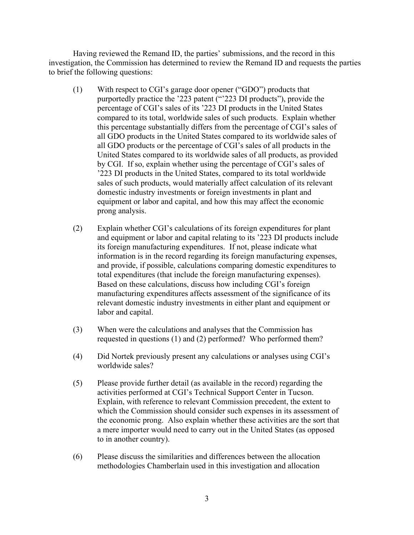Having reviewed the Remand ID, the parties' submissions, and the record in this investigation, the Commission has determined to review the Remand ID and requests the parties to brief the following questions:

- (1) With respect to CGI's garage door opener ("GDO") products that purportedly practice the '223 patent ("'223 DI products"), provide the percentage of CGI's sales of its '223 DI products in the United States compared to its total, worldwide sales of such products. Explain whether this percentage substantially differs from the percentage of CGI's sales of all GDO products in the United States compared to its worldwide sales of all GDO products or the percentage of CGI's sales of all products in the United States compared to its worldwide sales of all products, as provided by CGI. If so, explain whether using the percentage of CGI's sales of '223 DI products in the United States, compared to its total worldwide sales of such products, would materially affect calculation of its relevant domestic industry investments or foreign investments in plant and equipment or labor and capital, and how this may affect the economic prong analysis.
- (2) Explain whether CGI's calculations of its foreign expenditures for plant and equipment or labor and capital relating to its '223 DI products include its foreign manufacturing expenditures. If not, please indicate what information is in the record regarding its foreign manufacturing expenses, and provide, if possible, calculations comparing domestic expenditures to total expenditures (that include the foreign manufacturing expenses). Based on these calculations, discuss how including CGI's foreign manufacturing expenditures affects assessment of the significance of its relevant domestic industry investments in either plant and equipment or labor and capital.
- (3) When were the calculations and analyses that the Commission has requested in questions (1) and (2) performed? Who performed them?
- (4) Did Nortek previously present any calculations or analyses using CGI's worldwide sales?
- (5) Please provide further detail (as available in the record) regarding the activities performed at CGI's Technical Support Center in Tucson. Explain, with reference to relevant Commission precedent, the extent to which the Commission should consider such expenses in its assessment of the economic prong. Also explain whether these activities are the sort that a mere importer would need to carry out in the United States (as opposed to in another country).
- (6) Please discuss the similarities and differences between the allocation methodologies Chamberlain used in this investigation and allocation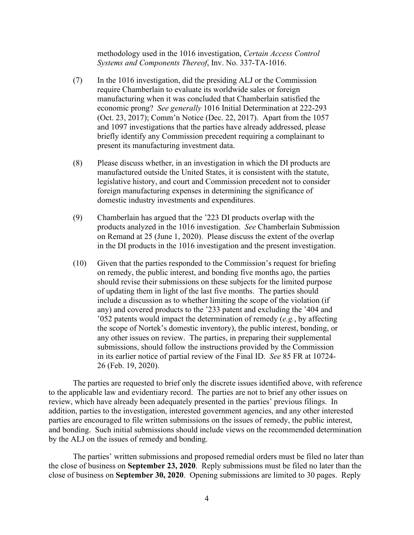methodology used in the 1016 investigation, *Certain Access Control Systems and Components Thereof*, Inv. No. 337-TA-1016.

- (7) In the 1016 investigation, did the presiding ALJ or the Commission require Chamberlain to evaluate its worldwide sales or foreign manufacturing when it was concluded that Chamberlain satisfied the economic prong? *See generally* 1016 Initial Determination at 222-293 (Oct. 23, 2017); Comm'n Notice (Dec. 22, 2017). Apart from the 1057 and 1097 investigations that the parties have already addressed, please briefly identify any Commission precedent requiring a complainant to present its manufacturing investment data.
- (8) Please discuss whether, in an investigation in which the DI products are manufactured outside the United States, it is consistent with the statute, legislative history, and court and Commission precedent not to consider foreign manufacturing expenses in determining the significance of domestic industry investments and expenditures.
- (9) Chamberlain has argued that the '223 DI products overlap with the products analyzed in the 1016 investigation. *See* Chamberlain Submission on Remand at 25 (June 1, 2020). Please discuss the extent of the overlap in the DI products in the 1016 investigation and the present investigation.
- (10) Given that the parties responded to the Commission's request for briefing on remedy, the public interest, and bonding five months ago, the parties should revise their submissions on these subjects for the limited purpose of updating them in light of the last five months. The parties should include a discussion as to whether limiting the scope of the violation (if any) and covered products to the '233 patent and excluding the '404 and '052 patents would impact the determination of remedy (*e.g.*, by affecting the scope of Nortek's domestic inventory), the public interest, bonding, or any other issues on review. The parties, in preparing their supplemental submissions, should follow the instructions provided by the Commission in its earlier notice of partial review of the Final ID. *See* 85 FR at 10724- 26 (Feb. 19, 2020).

The parties are requested to brief only the discrete issues identified above, with reference to the applicable law and evidentiary record. The parties are not to brief any other issues on review, which have already been adequately presented in the parties' previous filings. In addition, parties to the investigation, interested government agencies, and any other interested parties are encouraged to file written submissions on the issues of remedy, the public interest, and bonding. Such initial submissions should include views on the recommended determination by the ALJ on the issues of remedy and bonding.

The parties' written submissions and proposed remedial orders must be filed no later than the close of business on **September 23, 2020**. Reply submissions must be filed no later than the close of business on **September 30, 2020**. Opening submissions are limited to 30 pages. Reply